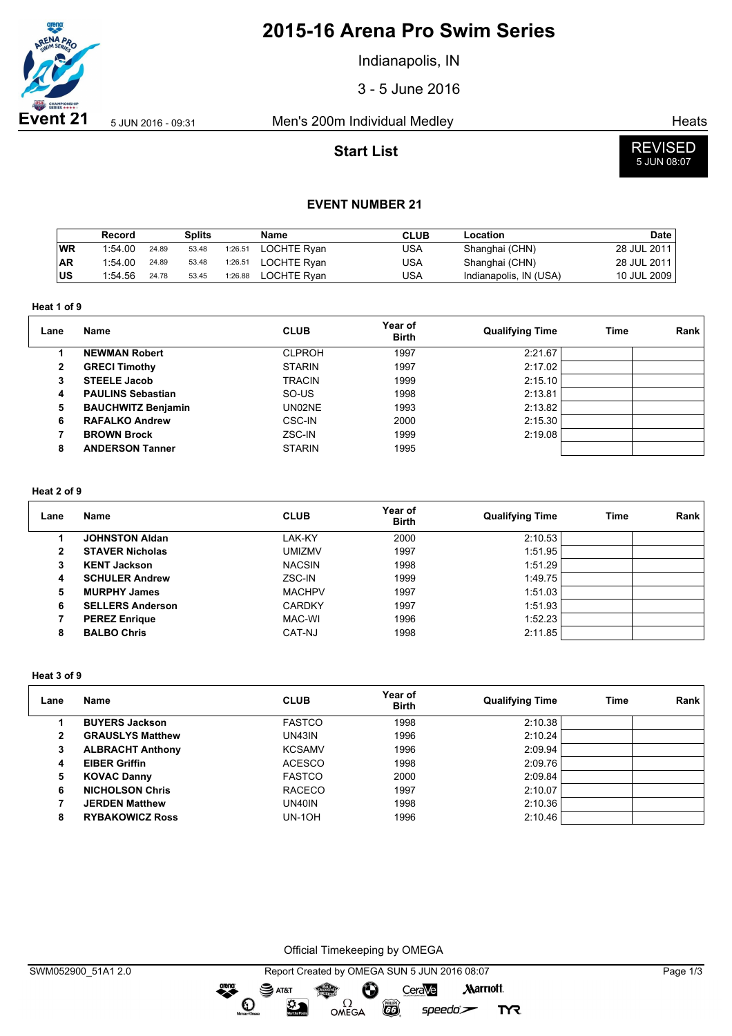

# **2015-16 Arena Pro Swim Series**

Indianapolis, IN

3 - 5 June 2016

**Event 21** 5 Jun 2016 - 09:31 Men's 200m Individual Medley Ment 200m Individual Medley

**Start List**



#### **EVENT NUMBER 21**

|           | Record  |       | <b>Splits</b> |         | <b>Name</b> | <b>CLUB</b> | Location               | Date        |
|-----------|---------|-------|---------------|---------|-------------|-------------|------------------------|-------------|
| WR        | 1:54.00 | 24.89 | 53.48         | 1:26.51 | LOCHTE Ryan | USA         | Shanghai (CHN)         | 28 JUL 2011 |
| <b>AR</b> | 1:54.00 | 24.89 | 53.48         | 1:26.51 | LOCHTE Rvan | USA         | Shanghai (CHN)         | 28 JUL 2011 |
| US        | 1:54.56 | 24.78 | 53.45         | 1:26.88 | LOCHTE Rvan | USA         | Indianapolis, IN (USA) | 10 JUL 2009 |

**Heat 1 of 9**

| Lane | Name                      | <b>CLUB</b>   | Year of<br><b>Birth</b> | <b>Qualifying Time</b> | Time | Rank |
|------|---------------------------|---------------|-------------------------|------------------------|------|------|
|      | <b>NEWMAN Robert</b>      | <b>CLPROH</b> | 1997                    | 2:21.67                |      |      |
| 2    | <b>GRECI Timothy</b>      | <b>STARIN</b> | 1997                    | 2:17.02                |      |      |
| 3    | <b>STEELE Jacob</b>       | <b>TRACIN</b> | 1999                    | 2:15.10                |      |      |
| 4    | <b>PAULINS Sebastian</b>  | SO-US         | 1998                    | 2:13.81                |      |      |
| 5    | <b>BAUCHWITZ Benjamin</b> | UN02NE        | 1993                    | 2:13.82                |      |      |
| 6    | <b>RAFALKO Andrew</b>     | <b>CSC-IN</b> | 2000                    | 2:15.30                |      |      |
|      | <b>BROWN Brock</b>        | ZSC-IN        | 1999                    | 2:19.08                |      |      |
| 8    | <b>ANDERSON Tanner</b>    | <b>STARIN</b> | 1995                    |                        |      |      |

#### **Heat 2 of 9**

| Lane | Name                    | <b>CLUB</b>   | Year of<br><b>Birth</b> | <b>Qualifying Time</b> | Time | Rank |
|------|-------------------------|---------------|-------------------------|------------------------|------|------|
|      | <b>JOHNSTON Aldan</b>   | LAK-KY        | 2000                    | 2:10.53                |      |      |
| 2    | <b>STAVER Nicholas</b>  | <b>UMIZMV</b> | 1997                    | 1:51.95                |      |      |
| з    | <b>KENT Jackson</b>     | <b>NACSIN</b> | 1998                    | 1:51.29                |      |      |
| 4    | <b>SCHULER Andrew</b>   | ZSC-IN        | 1999                    | 1:49.75                |      |      |
| 5    | <b>MURPHY James</b>     | <b>MACHPV</b> | 1997                    | 1:51.03                |      |      |
| 6    | <b>SELLERS Anderson</b> | <b>CARDKY</b> | 1997                    | 1:51.93                |      |      |
|      | <b>PEREZ Enrique</b>    | MAC-WI        | 1996                    | 1:52.23                |      |      |
| 8    | <b>BALBO Chris</b>      | CAT-NJ        | 1998                    | 2:11.85                |      |      |

**Heat 3 of 9**

| Lane | Name                    | <b>CLUB</b>   | Year of<br><b>Birth</b> | <b>Qualifying Time</b> | Time | Rank |
|------|-------------------------|---------------|-------------------------|------------------------|------|------|
|      | <b>BUYERS Jackson</b>   | <b>FASTCO</b> | 1998                    | 2:10.38                |      |      |
| 2    | <b>GRAUSLYS Matthew</b> | UN43IN        | 1996                    | 2:10.24                |      |      |
| 3    | <b>ALBRACHT Anthony</b> | <b>KCSAMV</b> | 1996                    | 2:09.94                |      |      |
| 4    | <b>EIBER Griffin</b>    | <b>ACESCO</b> | 1998                    | 2:09.76                |      |      |
| 5    | <b>KOVAC Danny</b>      | <b>FASTCO</b> | 2000                    | 2:09.84                |      |      |
| 6    | <b>NICHOLSON Chris</b>  | <b>RACECO</b> | 1997                    | 2:10.07                |      |      |
|      | <b>JERDEN Matthew</b>   | UN40IN        | 1998                    | 2:10.36                |      |      |
| 8    | <b>RYBAKOWICZ Ross</b>  | UN-1OH        | 1996                    | 2:10.46                |      |      |

Official Timekeeping by OMEGA

OMEGA

dreng:

 $\mathbf O$ 

 $\mathbf{S}$  AT&T

 $\mathfrak{D}$ 

speedo`<del>∠</del>

**TYR** 

 $\overline{G}$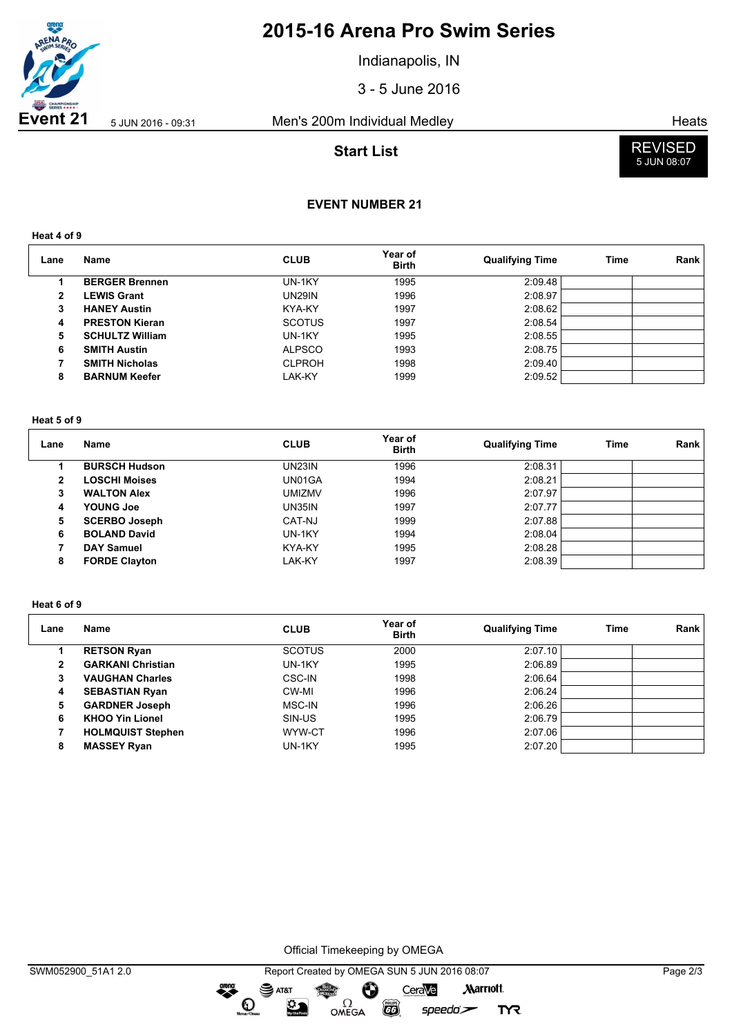

# **2015-16 Arena Pro Swim Series**

Indianapolis, IN

3 - 5 June 2016

**Event 21** 5 JUN 2016 - 09:31 Men's 200m Individual Medley Heats

## **Start List**



# **EVENT NUMBER 21**

**Heat 4 of 9**

| Lane | Name                   | <b>CLUB</b>   | Year of<br><b>Birth</b> | <b>Qualifying Time</b> | Time | Rank |
|------|------------------------|---------------|-------------------------|------------------------|------|------|
|      | <b>BERGER Brennen</b>  | UN-1KY        | 1995                    | 2:09.48                |      |      |
| 2    | <b>LEWIS Grant</b>     | <b>UN29IN</b> | 1996                    | 2:08.97                |      |      |
| 3    | <b>HANEY Austin</b>    | KYA-KY        | 1997                    | 2:08.62                |      |      |
| 4    | <b>PRESTON Kieran</b>  | <b>SCOTUS</b> | 1997                    | 2:08.54                |      |      |
| 5    | <b>SCHULTZ William</b> | UN-1KY        | 1995                    | 2:08.55                |      |      |
| 6    | <b>SMITH Austin</b>    | <b>ALPSCO</b> | 1993                    | 2:08.75                |      |      |
|      | <b>SMITH Nicholas</b>  | <b>CLPROH</b> | 1998                    | 2:09.40                |      |      |
| 8    | <b>BARNUM Keefer</b>   | LAK-KY        | 1999                    | 2:09.52                |      |      |

#### **Heat 5 of 9**

| Lane | <b>Name</b>          | <b>CLUB</b> | Year of<br><b>Birth</b> | <b>Qualifying Time</b> | Time | Rank |
|------|----------------------|-------------|-------------------------|------------------------|------|------|
|      | <b>BURSCH Hudson</b> | UN23IN      | 1996                    | 2:08.31                |      |      |
| 2    | <b>LOSCHI Moises</b> | UN01GA      | 1994                    | 2:08.21                |      |      |
| 3    | <b>WALTON Alex</b>   | UMIZMV      | 1996                    | 2:07.97                |      |      |
| 4    | YOUNG Joe            | UN35IN      | 1997                    | 2:07.77                |      |      |
| 5    | <b>SCERBO Joseph</b> | CAT-NJ      | 1999                    | 2:07.88                |      |      |
| 6    | <b>BOLAND David</b>  | UN-1KY      | 1994                    | 2:08.04                |      |      |
|      | <b>DAY Samuel</b>    | KYA-KY      | 1995                    | 2:08.28                |      |      |
| 8    | <b>FORDE Clayton</b> | LAK-KY      | 1997                    | 2:08.39                |      |      |

#### **Heat 6 of 9**

| Lane | Name                     | <b>CLUB</b>   | Year of<br><b>Birth</b> | <b>Qualifying Time</b> | Time | Rank |
|------|--------------------------|---------------|-------------------------|------------------------|------|------|
|      | <b>RETSON Ryan</b>       | <b>SCOTUS</b> | 2000                    | 2:07.10                |      |      |
| 2    | <b>GARKANI Christian</b> | UN-1KY        | 1995                    | 2:06.89                |      |      |
| 3    | <b>VAUGHAN Charles</b>   | CSC-IN        | 1998                    | 2:06.64                |      |      |
| 4    | <b>SEBASTIAN Ryan</b>    | CW-MI         | 1996                    | 2:06.24                |      |      |
| 5    | <b>GARDNER Joseph</b>    | MSC-IN        | 1996                    | 2:06.26                |      |      |
| 6    | <b>KHOO Yin Lionel</b>   | SIN-US        | 1995                    | 2:06.79                |      |      |
|      | <b>HOLMQUIST Stephen</b> | WYW-CT        | 1996                    | 2:07.06                |      |      |
| 8    | <b>MASSEY Ryan</b>       | UN-1KY        | 1995                    | 2:07.20                |      |      |

Official Timekeeping by OMEGA

OMEGA

dreng:

 $\mathbf O$ 

 $\mathfrak{D}$ 

SWM052900\_51A1 2.0 Report Created by OMEGA SUN 5 JUN 2016 08:07 Page 2/3SAT&T CeraVe **Marriott** Ô

 $\overline{G}$ 

 $speedo$ 

**TYR**